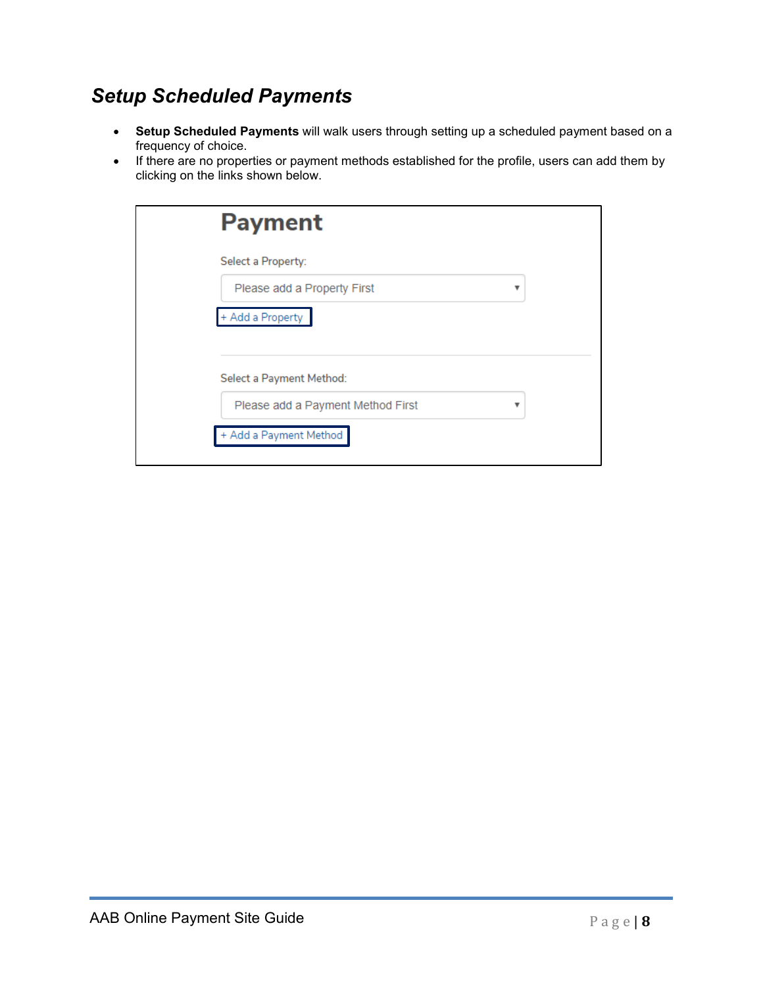### *Setup Scheduled Payments*

- **Setup Scheduled Payments** will walk users through setting up a scheduled payment based on a frequency of choice.
- If there are no properties or payment methods established for the profile, users can add them by clicking on the links shown below.

| <b>Payment</b>                    |   |  |
|-----------------------------------|---|--|
| Select a Property:                |   |  |
| Please add a Property First       | v |  |
| + Add a Property                  |   |  |
|                                   |   |  |
| Select a Payment Method:          |   |  |
| Please add a Payment Method First | v |  |
| + Add a Payment Method            |   |  |
|                                   |   |  |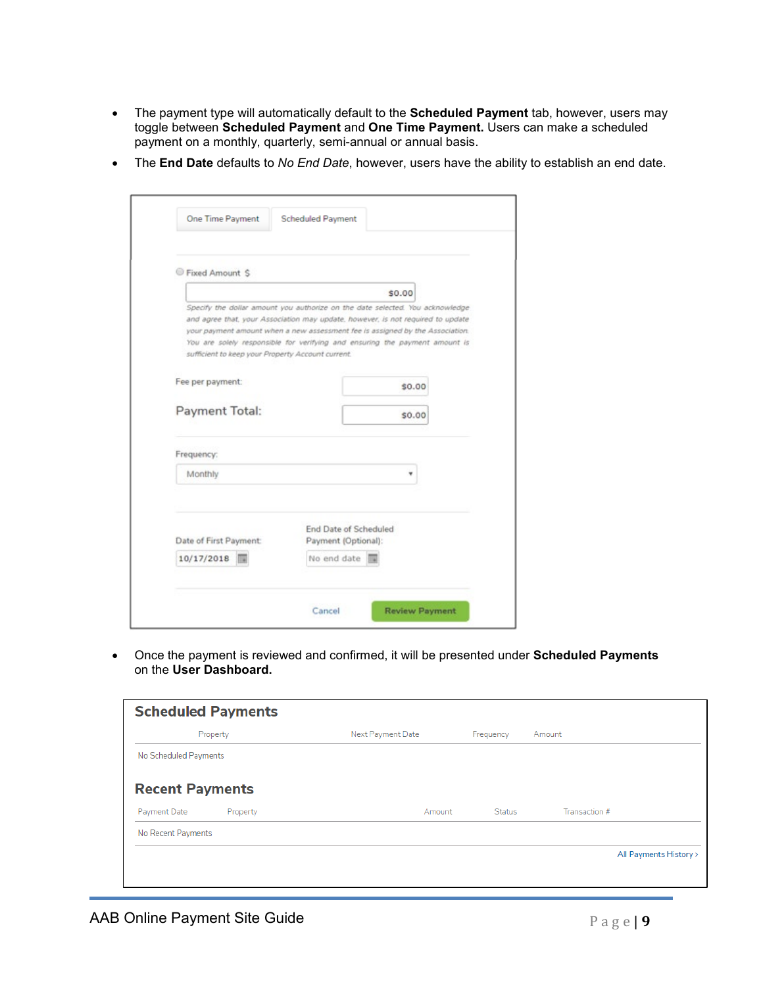- The payment type will automatically default to the **Scheduled Payment** tab, however, users may toggle between **Scheduled Payment** and **One Time Payment.** Users can make a scheduled payment on a monthly, quarterly, semi-annual or annual basis.
- The **End Date** defaults to *No End Date*, however, users have the ability to establish an end date.

| Fixed Amount \$                                   |                                                                                                                                                                                                                                                                                                                                  |
|---------------------------------------------------|----------------------------------------------------------------------------------------------------------------------------------------------------------------------------------------------------------------------------------------------------------------------------------------------------------------------------------|
|                                                   | \$0.00                                                                                                                                                                                                                                                                                                                           |
| sufficient to keep your Property Account current. | Specify the dollar amount you authorize on the date selected. You acknowledge<br>and agree that, your Association may update, however, is not required to update<br>your payment amount when a new assessment fee is assigned by the Association.<br>You are solely responsible for verifying and ensuring the payment amount is |
| Fee per payment:                                  | \$0.00                                                                                                                                                                                                                                                                                                                           |
| Payment Total:                                    | \$0.00                                                                                                                                                                                                                                                                                                                           |
| Frequency:                                        |                                                                                                                                                                                                                                                                                                                                  |
| Monthly                                           |                                                                                                                                                                                                                                                                                                                                  |
| Date of First Payment:<br>10/17/2018              | <b>End Date of Scheduled</b><br>Payment (Optional):<br>No end date                                                                                                                                                                                                                                                               |

• Once the payment is reviewed and confirmed, it will be presented under **Scheduled Payments** on the **User Dashboard.**

|                        | <b>Scheduled Payments</b> |                   |               |                        |
|------------------------|---------------------------|-------------------|---------------|------------------------|
|                        | Property                  | Next Payment Date | Frequency     | Amount                 |
| No Scheduled Payments  |                           |                   |               |                        |
| <b>Recent Payments</b> |                           |                   |               |                        |
| Payment Date           | Property                  | Amount            | <b>Status</b> | Transaction #          |
| No Recent Payments     |                           |                   |               |                        |
|                        |                           |                   |               | All Payments History > |
|                        |                           |                   |               |                        |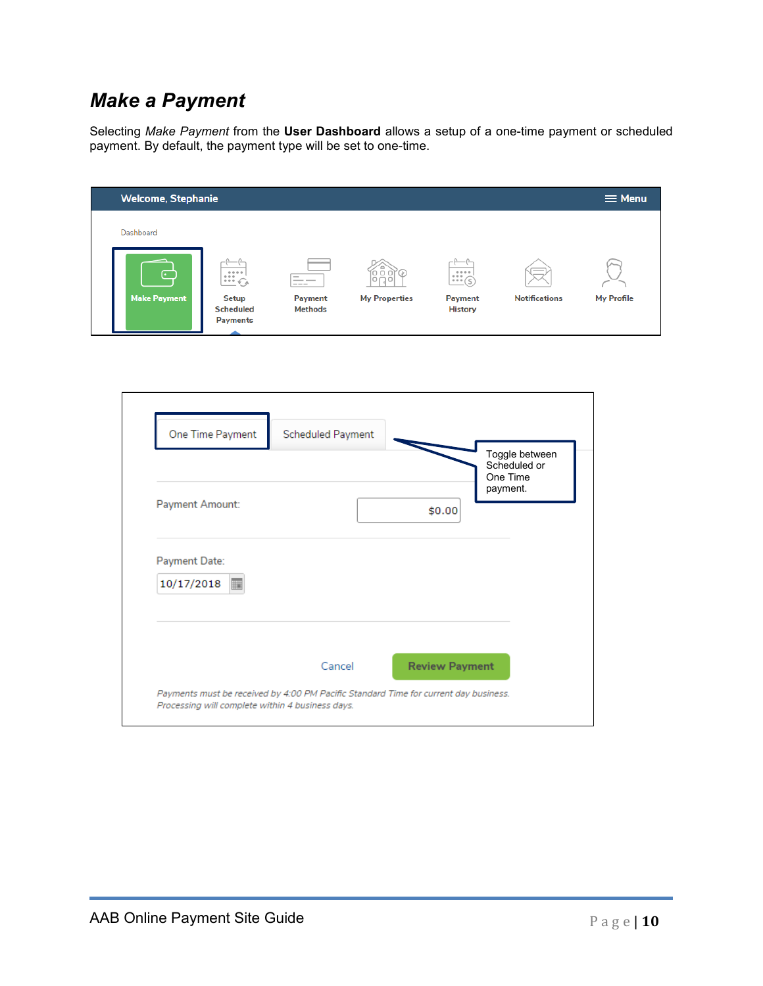# *Make a Payment*

Selecting *Make Payment* from the **User Dashboard** allows a setup of a one-time payment or scheduled payment. By default, the payment type will be set to one-time.

| <b>Welcome, Stephanie</b> |                                              |                                                     |                      |                                                                         |                                                                                                                                                                                                                                                                                                                                                                                                                                                                            | $\equiv$ Menu     |
|---------------------------|----------------------------------------------|-----------------------------------------------------|----------------------|-------------------------------------------------------------------------|----------------------------------------------------------------------------------------------------------------------------------------------------------------------------------------------------------------------------------------------------------------------------------------------------------------------------------------------------------------------------------------------------------------------------------------------------------------------------|-------------------|
| Dashboard                 |                                              |                                                     |                      |                                                                         |                                                                                                                                                                                                                                                                                                                                                                                                                                                                            |                   |
| $\overline{\cdot}$        | $\frac{1}{\cdots}$                           | $\overline{\phantom{a}}$<br>__<br>$\qquad \qquad -$ | <b>PRO</b>           | 0.0.0.0<br>$\frac{1}{2}$ $\frac{1}{2}$ $\frac{1}{2}$ $\frac{1}{2}$<br>- | $\frac{1}{2} \left( \frac{1}{2} \right) \left( \frac{1}{2} \right) \left( \frac{1}{2} \right) \left( \frac{1}{2} \right) \left( \frac{1}{2} \right) \left( \frac{1}{2} \right) \left( \frac{1}{2} \right) \left( \frac{1}{2} \right) \left( \frac{1}{2} \right) \left( \frac{1}{2} \right) \left( \frac{1}{2} \right) \left( \frac{1}{2} \right) \left( \frac{1}{2} \right) \left( \frac{1}{2} \right) \left( \frac{1}{2} \right) \left( \frac{1}{2} \right) \left( \frac$ | $\sim$            |
| <b>Make Payment</b>       | Setup<br><b>Scheduled</b><br><b>Payments</b> | Payment<br><b>Methods</b>                           | <b>My Properties</b> | <b>Payment</b><br><b>History</b>                                        | <b>Notifications</b>                                                                                                                                                                                                                                                                                                                                                                                                                                                       | <b>My Profile</b> |

|                                               | <b>Scheduled Payment</b> | One Time<br>payment.  | Toggle between<br>Scheduled or |
|-----------------------------------------------|--------------------------|-----------------------|--------------------------------|
| Payment Amount:                               |                          | \$0.00                |                                |
| Payment Date:<br>10/17/2018<br>$\blacksquare$ |                          |                       |                                |
|                                               |                          |                       |                                |
|                                               | Cancel                   | <b>Review Payment</b> |                                |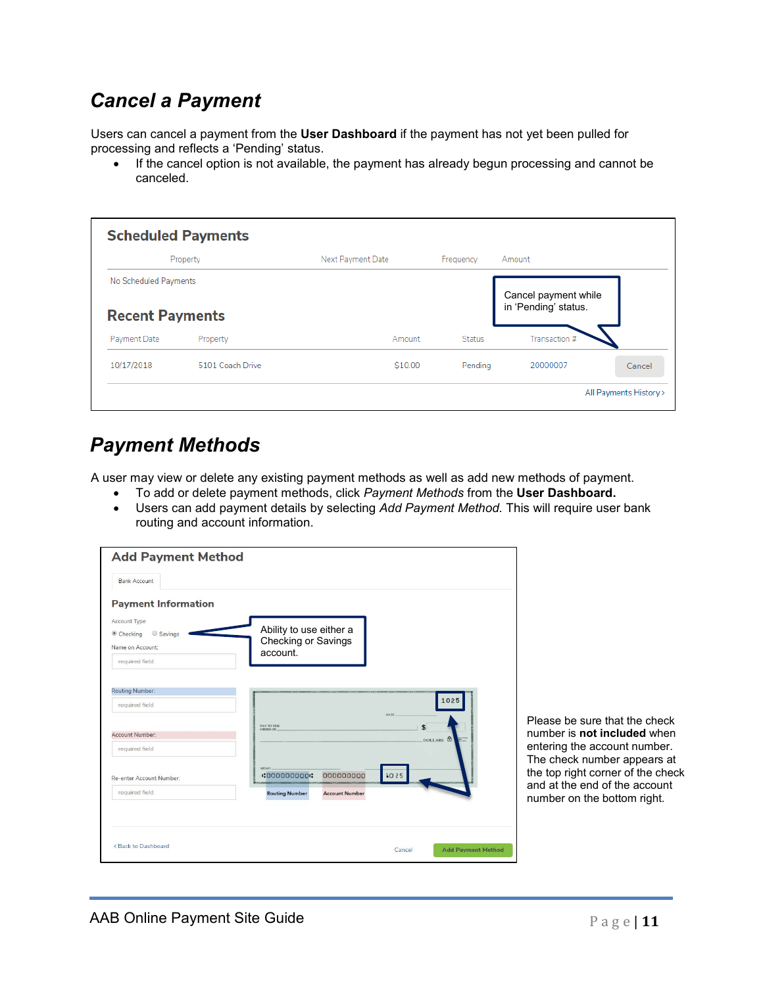### *Cancel a Payment*

Users can cancel a payment from the **User Dashboard** if the payment has not yet been pulled for processing and reflects a 'Pending' status.

• If the cancel option is not available, the payment has already begun processing and cannot be canceled.

|                        | Property         | Next Payment Date | Frequency     | Amount                                       |        |
|------------------------|------------------|-------------------|---------------|----------------------------------------------|--------|
| No Scheduled Payments  |                  |                   |               |                                              |        |
| <b>Recent Payments</b> |                  |                   |               | Cancel payment while<br>in 'Pending' status. |        |
| Payment Date           | Property         | Amount            | <b>Status</b> | Transaction #                                |        |
| 10/17/2018             | 5101 Coach Drive | \$10.00           | Pending       | 20000007                                     | Cancel |

# *Payment Methods*

A user may view or delete any existing payment methods as well as add new methods of payment.

- To add or delete payment methods, click *Payment Methods* from the **User Dashboard.**
- Users can add payment details by selecting *Add Payment Method.* This will require user bank routing and account information.

| <b>Add Payment Method</b>                                                            |                                                      |
|--------------------------------------------------------------------------------------|------------------------------------------------------|
| <b>Bank Account</b>                                                                  |                                                      |
| <b>Payment Information</b>                                                           |                                                      |
| <b>Account Type</b>                                                                  |                                                      |
| Savings<br>Checking                                                                  | Ability to use either a                              |
| Name on Account:                                                                     | Checking or Savings<br>account.                      |
| required field                                                                       |                                                      |
| <b>Routing Number:</b><br>required field<br>Account Number:                          | 1025<br><b>DATE</b><br>PAY TO THE<br>\$<br>ORDER OF. |
| required field                                                                       | DOLLARS A                                            |
| Re-enter Account Number:                                                             | MEMO.<br>000000000<br>1025<br>:000000000:            |
| required field                                                                       | <b>Account Number</b><br><b>Routing Number</b>       |
|                                                                                      |                                                      |
| <back dashboard<="" td="" to=""><td><b>Add Payment Method</b><br/>Cancel</td></back> | <b>Add Payment Method</b><br>Cancel                  |

Please be sure that the check number is **not included** when entering the account number. The check number appears at the top right corner of the check and at the end of the account number on the bottom right.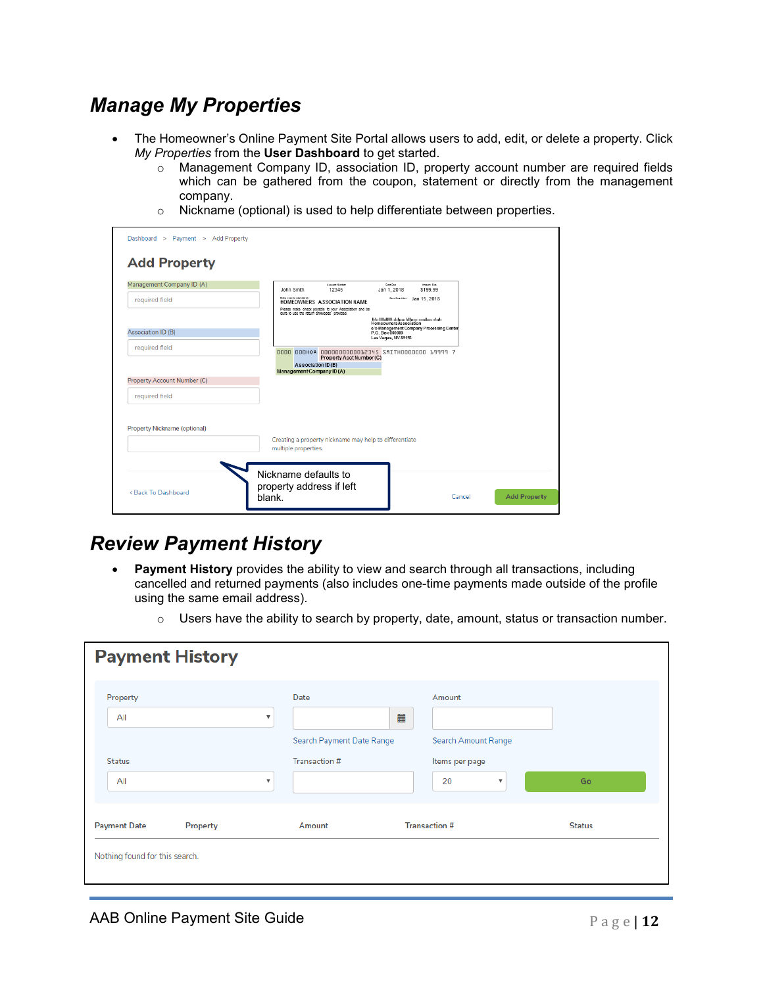### *Manage My Properties*

- The Homeowner's Online Payment Site Portal allows users to add, edit, or delete a property. Click *My Properties* from the **User Dashboard** to get started.
	- $\circ$  Management Company ID, association ID, property account number are required fields which can be gathered from the coupon, statement or directly from the management company.
	- o Nickname (optional) is used to help differentiate between properties.

| libir checks payable to:<br>Past Dan After Jan 15, 2018<br>required field<br>HOMEOWNERS ASSOCIATION NAME<br>Please make check payable to your Association and be<br>sure to use the return envelopes provided.<br>blallbillilablanddinamanlanadai<br>Homeowners Association<br>c/o Management Company Processing Center<br>Association ID (B)<br>P.O. Box 000000<br>Las Vegas, NV 89193<br><u>nnnn nnnнод nnnnnnnnnnnnnasys smithnnnnnnn 19999 2</u><br>Property Acct Number (C)<br>Association ID(B)<br>Management Company ID (A) |  |
|------------------------------------------------------------------------------------------------------------------------------------------------------------------------------------------------------------------------------------------------------------------------------------------------------------------------------------------------------------------------------------------------------------------------------------------------------------------------------------------------------------------------------------|--|
|                                                                                                                                                                                                                                                                                                                                                                                                                                                                                                                                    |  |
| required field<br><b>Property Account Number (C)</b>                                                                                                                                                                                                                                                                                                                                                                                                                                                                               |  |
|                                                                                                                                                                                                                                                                                                                                                                                                                                                                                                                                    |  |
| required field                                                                                                                                                                                                                                                                                                                                                                                                                                                                                                                     |  |
|                                                                                                                                                                                                                                                                                                                                                                                                                                                                                                                                    |  |
|                                                                                                                                                                                                                                                                                                                                                                                                                                                                                                                                    |  |
| <b>Property Nickname (optional)</b><br>Creating a property nickname may help to differentiate<br>multiple properties.                                                                                                                                                                                                                                                                                                                                                                                                              |  |

#### *Review Payment History*

- **Payment History** provides the ability to view and search through all transactions, including cancelled and returned payments (also includes one-time payments made outside of the profile using the same email address).
	- $\circ$  Users have the ability to search by property, date, amount, status or transaction number.

| <b>Payment History</b>                                |                                                        |                                                    |                                                                                           |               |
|-------------------------------------------------------|--------------------------------------------------------|----------------------------------------------------|-------------------------------------------------------------------------------------------|---------------|
| Property<br>All<br><b>Status</b><br>All               | $\boldsymbol{\mathrm{v}}$<br>$\boldsymbol{\mathrm{v}}$ | Date<br>Search Payment Date Range<br>Transaction # | Amount<br>iii<br>Search Amount Range<br>Items per page<br>20<br>$\boldsymbol{\mathrm{v}}$ | Go            |
| <b>Payment Date</b><br>Nothing found for this search. | Property                                               | Amount                                             | <b>Transaction #</b>                                                                      | <b>Status</b> |